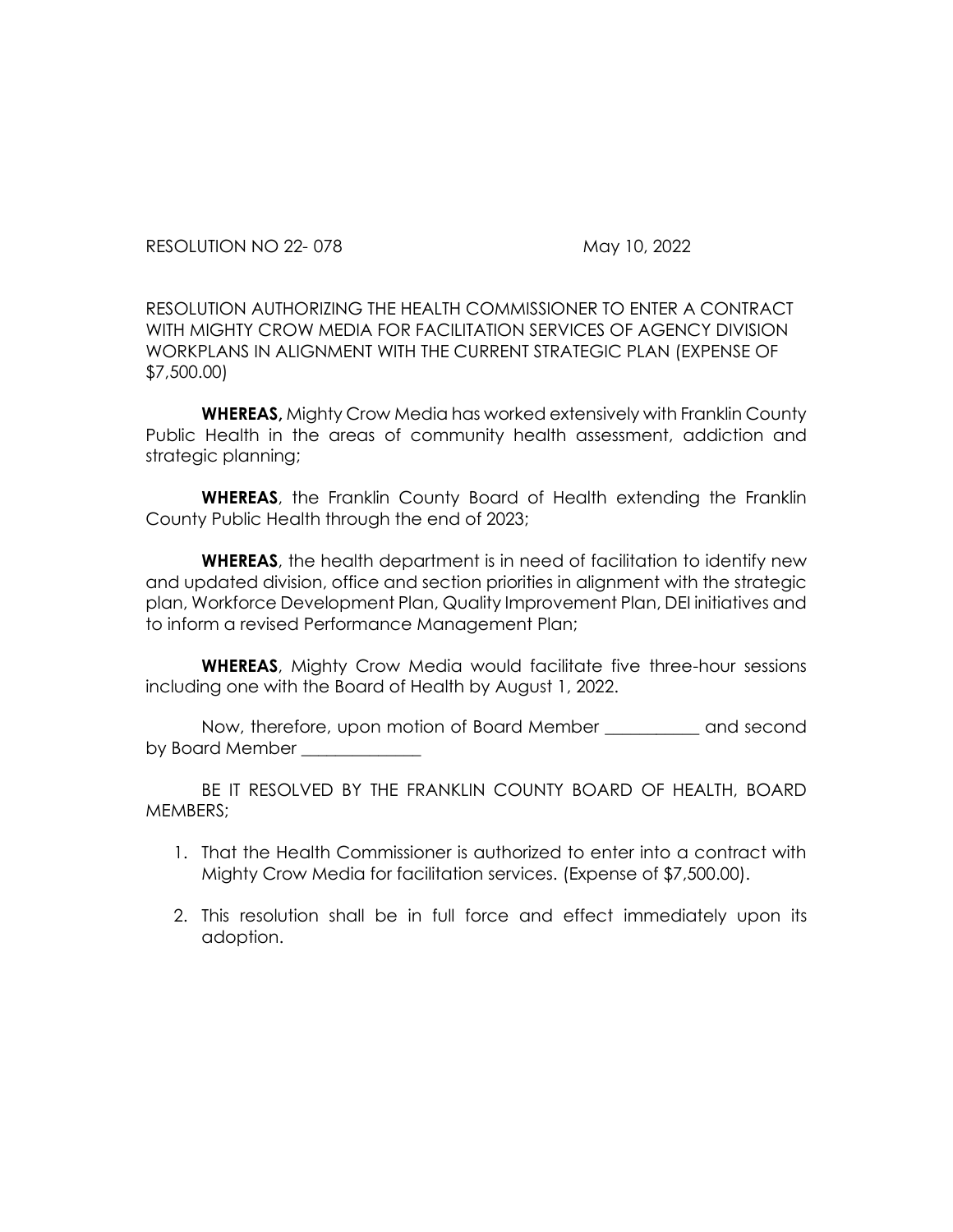RESOLUTION NO 22-078 May 10, 2022

RESOLUTION AUTHORIZING THE HEALTH COMMISSIONER TO ENTER A CONTRACT WITH MIGHTY CROW MEDIA FOR FACILITATION SERVICES OF AGENCY DIVISION WORKPLANS IN ALIGNMENT WITH THE CURRENT STRATEGIC PLAN (EXPENSE OF \$7,500.00)

**WHEREAS,** Mighty Crow Media has worked extensively with Franklin County Public Health in the areas of community health assessment, addiction and strategic planning;

**WHEREAS**, the Franklin County Board of Health extending the Franklin County Public Health through the end of 2023;

**WHEREAS**, the health department is in need of facilitation to identify new and updated division, office and section priorities in alignment with the strategic plan, Workforce Development Plan, Quality Improvement Plan, DEI initiatives and to inform a revised Performance Management Plan;

**WHEREAS**, Mighty Crow Media would facilitate five three-hour sessions including one with the Board of Health by August 1, 2022.

Now, therefore, upon motion of Board Member \_\_\_\_\_\_\_\_\_\_\_ and second by Board Member \_\_\_\_\_\_\_\_\_\_\_\_\_\_

BE IT RESOLVED BY THE FRANKLIN COUNTY BOARD OF HEALTH, BOARD MEMBERS;

- 1. That the Health Commissioner is authorized to enter into a contract with Mighty Crow Media for facilitation services. (Expense of \$7,500.00).
- 2. This resolution shall be in full force and effect immediately upon its adoption.